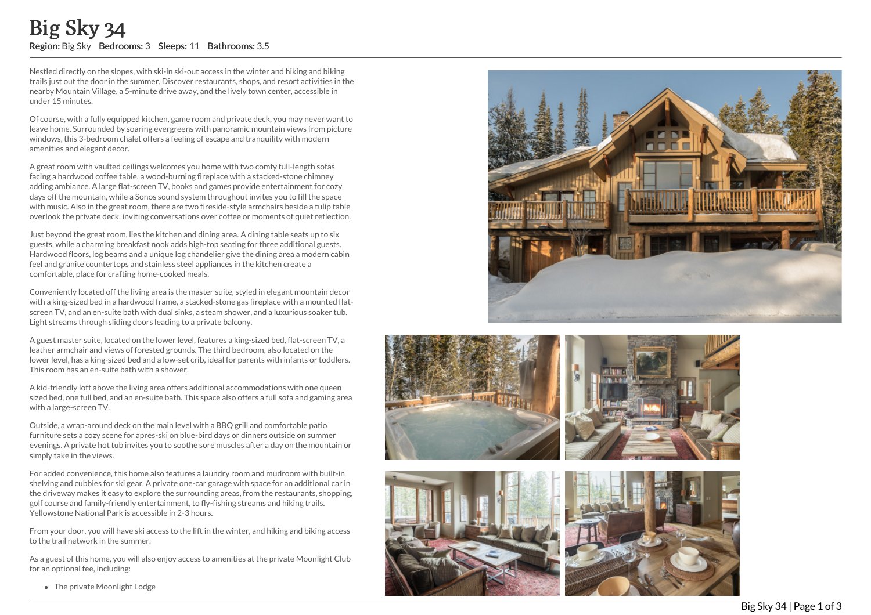Nestled directly on the slopes, with ski-in ski-out access in the winter and hiking and biking trails just out the door in the summer. Discover restaurants, shops, and resort activities in the nearby Mountain Village, a 5-minute drive away, and the lively town center, accessible in under 15 minutes.

Of course, with a fully equipped kitchen, game room and private deck, you may never want to leave home. Surrounded by soaring evergreens with panoramic mountain views from picture windows, this 3-bedroom chalet offers a feeling of escape and tranquility with modern amenities and elegant decor.

A great room with vaulted ceilings welcomes you home with two comfy full-length sofas facing a hardwood coffee table, a wood-burning fireplace with a stacked-stone chimney adding ambiance. A large flat-screen TV, books and games provide entertainment for cozy days off the mountain, while a Sonos sound system throughout invites you to fill the space with music. Also in the great room, there are two fireside-style armchairs beside a tulip table overlook the private deck, inviting conversations over coffee or moments of quiet reflection. **Example 18 Sky 34 Region:** Big Sky Bedrooms: 3 Sleeps: 11 Bathrooms: 3.5<br>
Nestled directly on the slopes, with ski-in ski-out access in the winter trails just out the door in the summer. Discover restaurants, shops, and<br>

Just beyond the great room, lies the kitchen and dining area. A dining table seats up to six guests, while a charming breakfast nook adds high-top seating for three additional guests. Hardwood floors, log beams and a unique log chandelier give the dining area a modern cabin feel and granite countertops and stainless steel appliances in the kitchen create a comfortable, place for crafting home-cooked meals.

Conveniently located off the living area is the master suite, styled in elegant mountain decor with a king-sized bed in a hardwood frame, a stacked-stone gas fireplace with a mounted flat screen TV, and an en-suite bath with dual sinks, a steam shower, and a luxurious soaker tub. Light streams through sliding doors leading to a private balcony.

A guest master suite, located on the lower level, features a king-sized bed, flat-screen TV, a leather armchair and views of forested grounds. The third bedroom, also located on the lower level, has a king-sized bed and a low-set crib, ideal for parents with infants or toddlers. This room has an en-suite bath with a shower.

A kid-friendly loft above the living area offers additional accommodations with one queen sized bed, one full bed, and an en-suite bath. This space also offers a full sofa and gaming area with a large-screen TV.

Outside, a wrap-around deck on the main level with a BBQ grill and comfortable patio furniture sets a cozy scene for apres-ski on blue-bird days or dinners outside on summer evenings. A private hot tub invites you to soothe sore muscles after a day on the mountain or simply take in the views.

For added convenience, this home also features a laundry room and mudroom with built-in shelving and cubbies for ski gear. A private one-car garage with space for an additional car in the driveway makes it easy to explore the surrounding areas, from the restaurants, shopping, golf course and family-friendly entertainment, to fly-fishing streams and hiking trails. Yellowstone National Park is accessible in 2-3 hours.

From your door, you will have ski access to the lift in the winter, and hiking and biking access to the trail network in the summer.

As a guest of this home, you will also enjoy access to amenities at the private Moonlight Club for an optional fee, including:







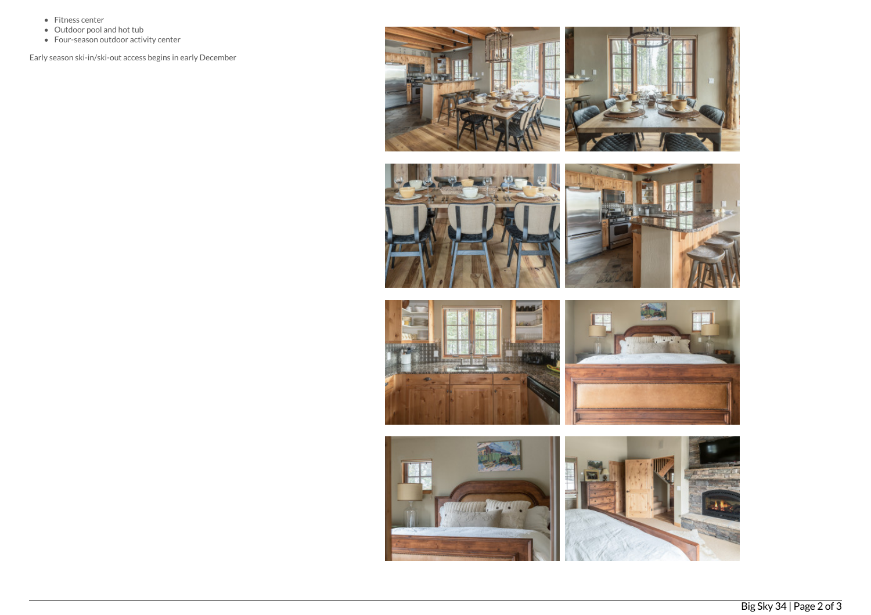- Fitness center
- Outdoor pool and hot tub
- Four-season outdoor activity center

Early season ski-in/ski-out access begins in early December